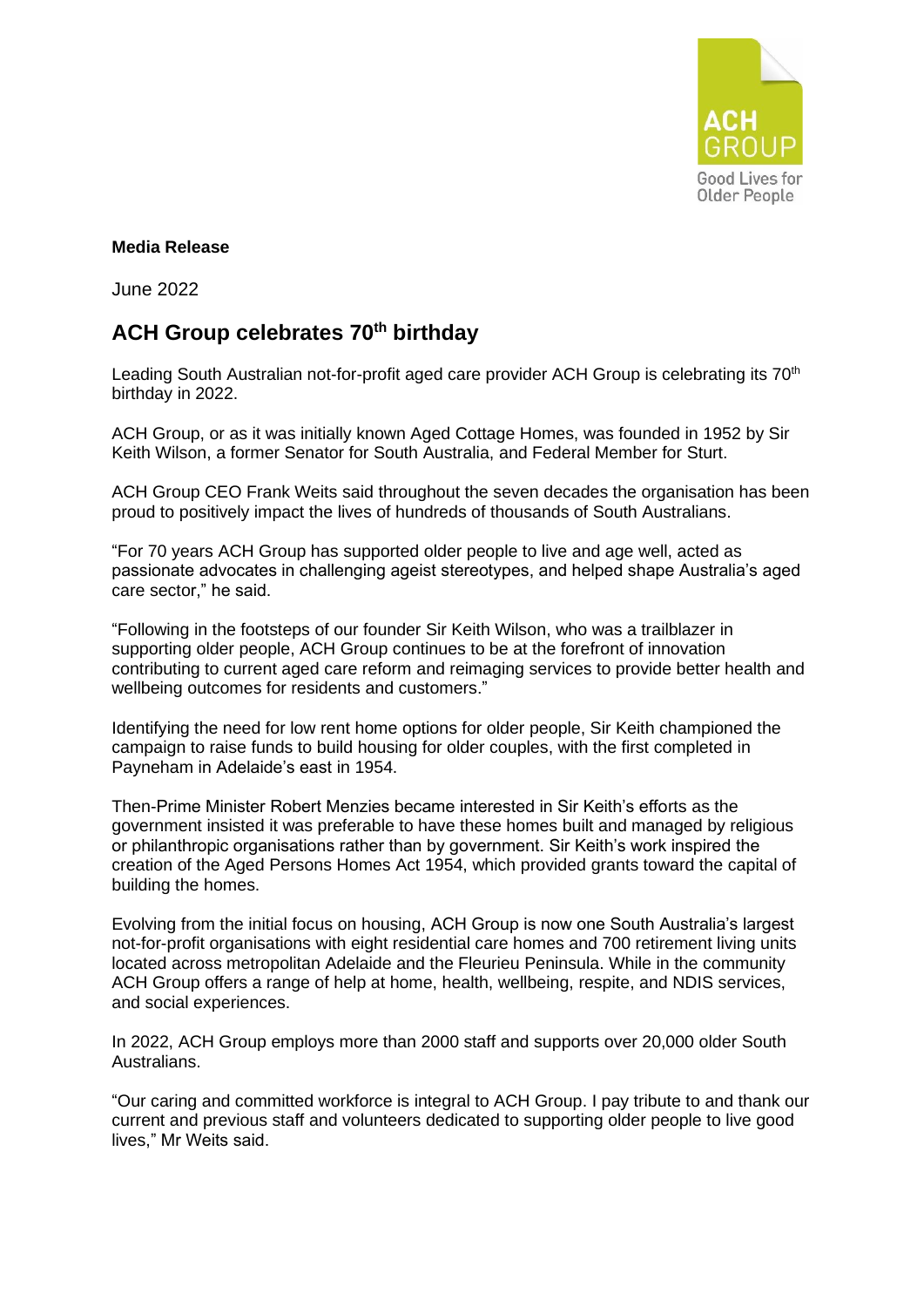

## **Media Release**

June 2022

## **ACH Group celebrates 70th birthday**

Leading South Australian not-for-profit aged care provider ACH Group is celebrating its 70<sup>th</sup> birthday in 2022.

ACH Group, or as it was initially known Aged Cottage Homes, was founded in 1952 by Sir Keith Wilson, a former Senator for South Australia, and Federal Member for Sturt.

ACH Group CEO Frank Weits said throughout the seven decades the organisation has been proud to positively impact the lives of hundreds of thousands of South Australians.

"For 70 years ACH Group has supported older people to live and age well, acted as passionate advocates in challenging ageist stereotypes, and helped shape Australia's aged care sector," he said.

"Following in the footsteps of our founder Sir Keith Wilson, who was a trailblazer in supporting older people, ACH Group continues to be at the forefront of innovation contributing to current aged care reform and reimaging services to provide better health and wellbeing outcomes for residents and customers."

Identifying the need for low rent home options for older people, Sir Keith championed the campaign to raise funds to build housing for older couples, with the first completed in Payneham in Adelaide's east in 1954.

Then-Prime Minister Robert Menzies became interested in Sir Keith's efforts as the government insisted it was preferable to have these homes built and managed by religious or philanthropic organisations rather than by government. Sir Keith's work inspired the creation of the Aged Persons Homes Act 1954, which provided grants toward the capital of building the homes.

Evolving from the initial focus on housing, ACH Group is now one South Australia's largest not-for-profit organisations with eight residential care homes and 700 retirement living units located across metropolitan Adelaide and the Fleurieu Peninsula. While in the community ACH Group offers a range of help at home, health, wellbeing, respite, and NDIS services, and social experiences.

In 2022, ACH Group employs more than 2000 staff and supports over 20,000 older South Australians.

"Our caring and committed workforce is integral to ACH Group. I pay tribute to and thank our current and previous staff and volunteers dedicated to supporting older people to live good lives," Mr Weits said.